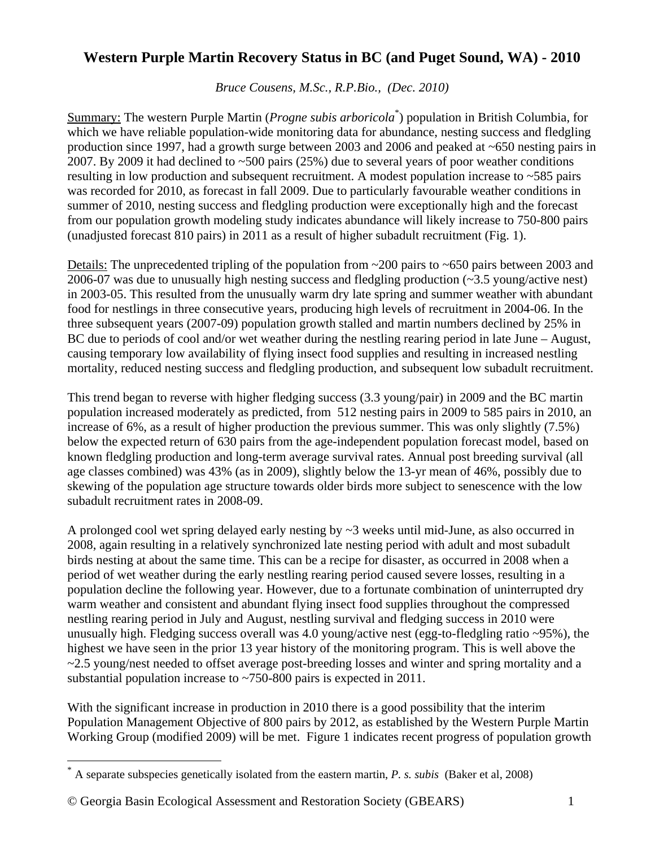## **Western Purple Martin Recovery Status in BC (and Puget Sound, WA) - 2010**

*Bruce Cousens, M.Sc., R.P.Bio., (Dec. 2010)* 

Summary: The western Purple Martin (*Progne subis arboricola*[\\*](#page-0-0) ) population in British Columbia, for which we have reliable population-wide monitoring data for abundance, nesting success and fledgling production since 1997, had a growth surge between 2003 and 2006 and peaked at ~650 nesting pairs in 2007. By 2009 it had declined to ~500 pairs (25%) due to several years of poor weather conditions resulting in low production and subsequent recruitment. A modest population increase to ~585 pairs was recorded for 2010, as forecast in fall 2009. Due to particularly favourable weather conditions in summer of 2010, nesting success and fledgling production were exceptionally high and the forecast from our population growth modeling study indicates abundance will likely increase to 750-800 pairs (unadjusted forecast 810 pairs) in 2011 as a result of higher subadult recruitment (Fig. 1).

Details: The unprecedented tripling of the population from ~200 pairs to ~650 pairs between 2003 and 2006-07 was due to unusually high nesting success and fledgling production (~3.5 young/active nest) in 2003-05. This resulted from the unusually warm dry late spring and summer weather with abundant food for nestlings in three consecutive years, producing high levels of recruitment in 2004-06. In the three subsequent years (2007-09) population growth stalled and martin numbers declined by 25% in BC due to periods of cool and/or wet weather during the nestling rearing period in late June – August, causing temporary low availability of flying insect food supplies and resulting in increased nestling mortality, reduced nesting success and fledgling production, and subsequent low subadult recruitment.

This trend began to reverse with higher fledging success (3.3 young/pair) in 2009 and the BC martin population increased moderately as predicted, from 512 nesting pairs in 2009 to 585 pairs in 2010, an increase of 6%, as a result of higher production the previous summer. This was only slightly (7.5%) below the expected return of 630 pairs from the age-independent population forecast model, based on known fledgling production and long-term average survival rates. Annual post breeding survival (all age classes combined) was 43% (as in 2009), slightly below the 13-yr mean of 46%, possibly due to skewing of the population age structure towards older birds more subject to senescence with the low subadult recruitment rates in 2008-09.

A prolonged cool wet spring delayed early nesting by ~3 weeks until mid-June, as also occurred in 2008, again resulting in a relatively synchronized late nesting period with adult and most subadult birds nesting at about the same time. This can be a recipe for disaster, as occurred in 2008 when a period of wet weather during the early nestling rearing period caused severe losses, resulting in a population decline the following year. However, due to a fortunate combination of uninterrupted dry warm weather and consistent and abundant flying insect food supplies throughout the compressed nestling rearing period in July and August, nestling survival and fledging success in 2010 were unusually high. Fledging success overall was 4.0 young/active nest (egg-to-fledgling ratio ~95%), the highest we have seen in the prior 13 year history of the monitoring program. This is well above the ~2.5 young/nest needed to offset average post-breeding losses and winter and spring mortality and a substantial population increase to ~750-800 pairs is expected in 2011.

With the significant increase in production in 2010 there is a good possibility that the interim Population Management Objective of 800 pairs by 2012, as established by the Western Purple Martin Working Group (modified 2009) will be met. Figure 1 indicates recent progress of population growth

 $\overline{a}$ 

<span id="page-0-0"></span><sup>\*</sup> A separate subspecies genetically isolated from the eastern martin, *P. s. subis* (Baker et al, 2008)

<sup>©</sup> Georgia Basin Ecological Assessment and Restoration Society (GBEARS) 1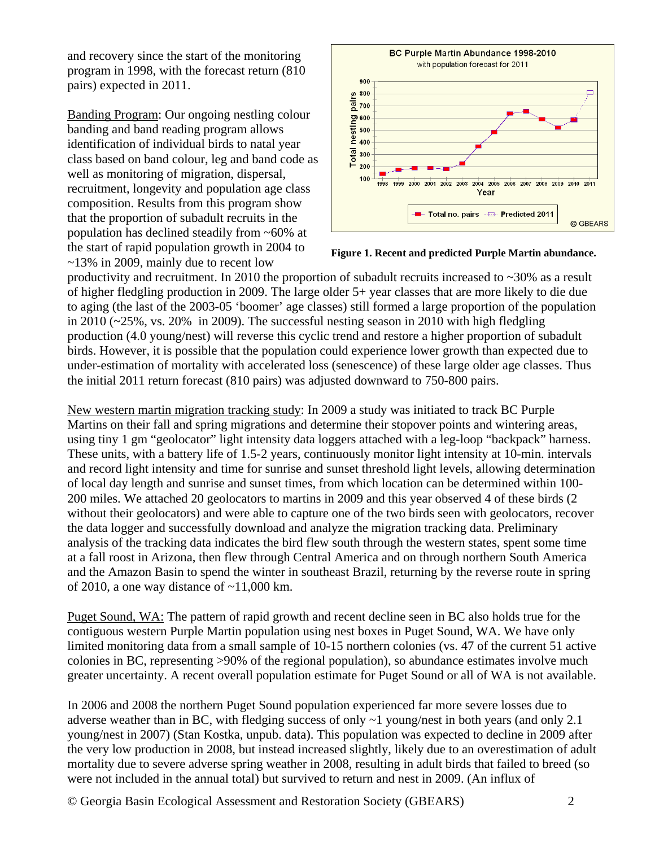and recovery since the start of the monitoring program in 1998, with the forecast return (810 pairs) expected in 2011.

Banding Program: Our ongoing nestling colour banding and band reading program allows identification of individual birds to natal year class based on band colour, leg and band code as well as monitoring of migration, dispersal, recruitment, longevity and population age class composition. Results from this program show that the proportion of subadult recruits in the population has declined steadily from ~60% at the start of rapid population growth in 2004 to ~13% in 2009, mainly due to recent low





productivity and recruitment. In 2010 the proportion of subadult recruits increased to ~30% as a result of higher fledgling production in 2009. The large older 5+ year classes that are more likely to die due to aging (the last of the 2003-05 'boomer' age classes) still formed a large proportion of the population in 2010 ( $\approx$ 25%, vs. 20% in 2009). The successful nesting season in 2010 with high fledgling production (4.0 young/nest) will reverse this cyclic trend and restore a higher proportion of subadult birds. However, it is possible that the population could experience lower growth than expected due to under-estimation of mortality with accelerated loss (senescence) of these large older age classes. Thus the initial 2011 return forecast (810 pairs) was adjusted downward to 750-800 pairs.

New western martin migration tracking study: In 2009 a study was initiated to track BC Purple Martins on their fall and spring migrations and determine their stopover points and wintering areas, using tiny 1 gm "geolocator" light intensity data loggers attached with a leg-loop "backpack" harness. These units, with a battery life of 1.5-2 years, continuously monitor light intensity at 10-min. intervals and record light intensity and time for sunrise and sunset threshold light levels, allowing determination of local day length and sunrise and sunset times, from which location can be determined within 100- 200 miles. We attached 20 geolocators to martins in 2009 and this year observed 4 of these birds (2 without their geolocators) and were able to capture one of the two birds seen with geolocators, recover the data logger and successfully download and analyze the migration tracking data. Preliminary analysis of the tracking data indicates the bird flew south through the western states, spent some time at a fall roost in Arizona, then flew through Central America and on through northern South America and the Amazon Basin to spend the winter in southeast Brazil, returning by the reverse route in spring of 2010, a one way distance of  $\sim$ 11,000 km.

Puget Sound, WA: The pattern of rapid growth and recent decline seen in BC also holds true for the contiguous western Purple Martin population using nest boxes in Puget Sound, WA. We have only limited monitoring data from a small sample of 10-15 northern colonies (vs. 47 of the current 51 active colonies in BC, representing >90% of the regional population), so abundance estimates involve much greater uncertainty. A recent overall population estimate for Puget Sound or all of WA is not available.

In 2006 and 2008 the northern Puget Sound population experienced far more severe losses due to adverse weather than in BC, with fledging success of only ~1 young/nest in both years (and only 2.1 young/nest in 2007) (Stan Kostka, unpub. data). This population was expected to decline in 2009 after the very low production in 2008, but instead increased slightly, likely due to an overestimation of adult mortality due to severe adverse spring weather in 2008, resulting in adult birds that failed to breed (so were not included in the annual total) but survived to return and nest in 2009. (An influx of

© Georgia Basin Ecological Assessment and Restoration Society (GBEARS) 2